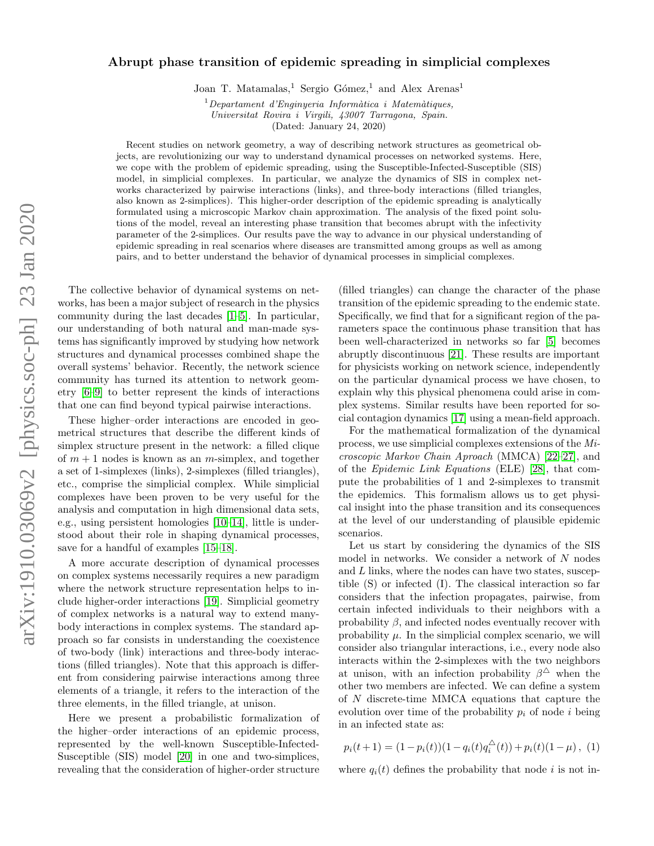## arXiv:1910.03069v2 [physics.soc-ph] 23 Jan 2020 arXiv:1910.03069v2 [physics.soc-ph] 23 Jan 2020

## Abrupt phase transition of epidemic spreading in simplicial complexes

Joan T. Matamalas,<sup>1</sup> Sergio Gómez,<sup>1</sup> and Alex Arenas<sup>1</sup>

 $1$ Departament d'Enginyeria Informàtica i Matemàtiques, Universitat Rovira i Virgili, 43007 Tarragona, Spain.

(Dated: January 24, 2020)

Recent studies on network geometry, a way of describing network structures as geometrical objects, are revolutionizing our way to understand dynamical processes on networked systems. Here, we cope with the problem of epidemic spreading, using the Susceptible-Infected-Susceptible (SIS) model, in simplicial complexes. In particular, we analyze the dynamics of SIS in complex networks characterized by pairwise interactions (links), and three-body interactions (filled triangles, also known as 2-simplices). This higher-order description of the epidemic spreading is analytically formulated using a microscopic Markov chain approximation. The analysis of the fixed point solutions of the model, reveal an interesting phase transition that becomes abrupt with the infectivity parameter of the 2-simplices. Our results pave the way to advance in our physical understanding of epidemic spreading in real scenarios where diseases are transmitted among groups as well as among pairs, and to better understand the behavior of dynamical processes in simplicial complexes.

The collective behavior of dynamical systems on networks, has been a major subject of research in the physics community during the last decades [\[1–](#page-3-0)[5\]](#page-4-0). In particular, our understanding of both natural and man-made systems has significantly improved by studying how network structures and dynamical processes combined shape the overall systems' behavior. Recently, the network science community has turned its attention to network geometry [\[6–](#page-4-1)[9\]](#page-4-2) to better represent the kinds of interactions that one can find beyond typical pairwise interactions.

These higher–order interactions are encoded in geometrical structures that describe the different kinds of simplex structure present in the network: a filled clique of  $m + 1$  nodes is known as an *m*-simplex, and together a set of 1-simplexes (links), 2-simplexes (filled triangles), etc., comprise the simplicial complex. While simplicial complexes have been proven to be very useful for the analysis and computation in high dimensional data sets, e.g., using persistent homologies [\[10–](#page-4-3)[14\]](#page-4-4), little is understood about their role in shaping dynamical processes, save for a handful of examples [\[15](#page-4-5)[–18\]](#page-4-6).

A more accurate description of dynamical processes on complex systems necessarily requires a new paradigm where the network structure representation helps to include higher-order interactions [\[19\]](#page-4-7). Simplicial geometry of complex networks is a natural way to extend manybody interactions in complex systems. The standard approach so far consists in understanding the coexistence of two-body (link) interactions and three-body interactions (filled triangles). Note that this approach is different from considering pairwise interactions among three elements of a triangle, it refers to the interaction of the three elements, in the filled triangle, at unison.

Here we present a probabilistic formalization of the higher–order interactions of an epidemic process, represented by the well-known Susceptible-Infected-Susceptible (SIS) model [\[20\]](#page-4-8) in one and two-simplices, revealing that the consideration of higher-order structure

(filled triangles) can change the character of the phase transition of the epidemic spreading to the endemic state. Specifically, we find that for a significant region of the parameters space the continuous phase transition that has been well-characterized in networks so far [\[5\]](#page-4-0) becomes abruptly discontinuous [\[21\]](#page-4-9). These results are important for physicists working on network science, independently on the particular dynamical process we have chosen, to explain why this physical phenomena could arise in complex systems. Similar results have been reported for social contagion dynamics [\[17\]](#page-4-10) using a mean-field approach.

For the mathematical formalization of the dynamical process, we use simplicial complexes extensions of the Microscopic Markov Chain Aproach (MMCA) [\[22](#page-4-11)[–27\]](#page-4-12), and of the Epidemic Link Equations (ELE) [\[28\]](#page-4-13), that compute the probabilities of 1 and 2-simplexes to transmit the epidemics. This formalism allows us to get physical insight into the phase transition and its consequences at the level of our understanding of plausible epidemic scenarios.

Let us start by considering the dynamics of the SIS model in networks. We consider a network of N nodes and L links, where the nodes can have two states, susceptible (S) or infected (I). The classical interaction so far considers that the infection propagates, pairwise, from certain infected individuals to their neighbors with a probability  $\beta$ , and infected nodes eventually recover with probability  $\mu$ . In the simplicial complex scenario, we will consider also triangular interactions, i.e., every node also interacts within the 2-simplexes with the two neighbors at unison, with an infection probability  $\beta^{\triangle}$  when the other two members are infected. We can define a system of N discrete-time MMCA equations that capture the evolution over time of the probability  $p_i$  of node i being in an infected state as:

<span id="page-0-0"></span>
$$
p_i(t+1) = (1 - p_i(t))(1 - q_i(t)q_i^{\triangle}(t)) + p_i(t)(1 - \mu), \tag{1}
$$

where  $q_i(t)$  defines the probability that node i is not in-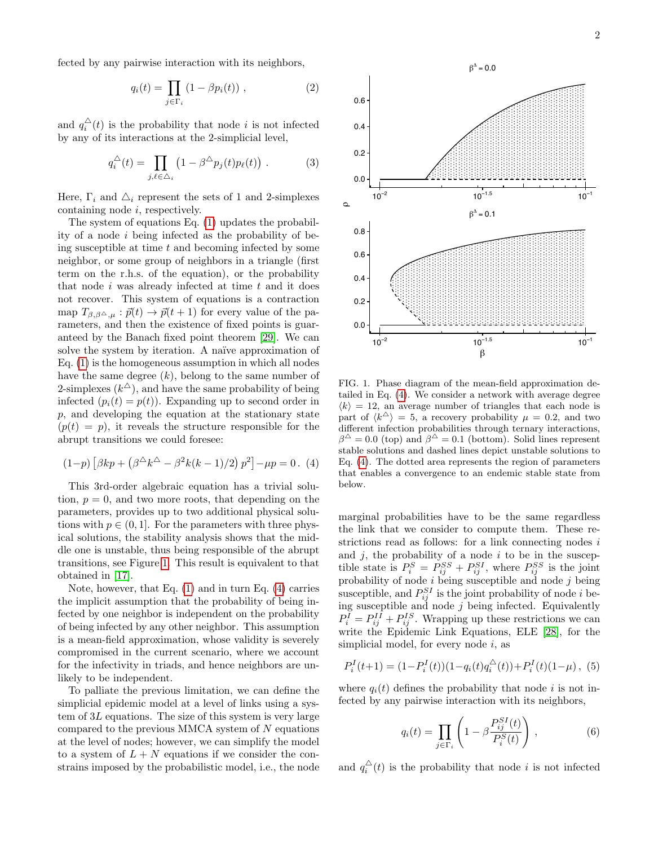fected by any pairwise interaction with its neighbors,

$$
q_i(t) = \prod_{j \in \Gamma_i} (1 - \beta p_i(t)), \qquad (2)
$$

and  $q_i^{\Delta}(t)$  is the probability that node i is not infected by any of its interactions at the 2-simplicial level,

$$
q_i^{\triangle}(t) = \prod_{j,\ell \in \triangle_i} \left(1 - \beta^{\triangle} p_j(t) p_\ell(t)\right) . \tag{3}
$$

Here,  $\Gamma_i$  and  $\Delta_i$  represent the sets of 1 and 2-simplexes containing node i, respectively.

The system of equations Eq. [\(1\)](#page-0-0) updates the probability of a node  $i$  being infected as the probability of being susceptible at time  $t$  and becoming infected by some neighbor, or some group of neighbors in a triangle (first term on the r.h.s. of the equation), or the probability that node  $i$  was already infected at time  $t$  and it does not recover. This system of equations is a contraction map  $T_{\beta,\beta^{\Delta},\mu} : \vec{p}(t) \to \vec{p}(t+1)$  for every value of the parameters, and then the existence of fixed points is guaranteed by the Banach fixed point theorem [\[29\]](#page-4-14). We can solve the system by iteration. A naïve approximation of Eq. [\(1\)](#page-0-0) is the homogeneous assumption in which all nodes have the same degree  $(k)$ , belong to the same number of 2-simplexes  $(k^{\triangle})$ , and have the same probability of being infected  $(p_i(t) = p(t))$ . Expanding up to second order in p, and developing the equation at the stationary state  $(p(t) = p)$ , it reveals the structure responsible for the abrupt transitions we could foresee:

<span id="page-1-1"></span>
$$
(1-p) [\beta kp + (\beta^{\triangle} k^{\triangle} - \beta^2 k(k-1)/2) p^2] - \mu p = 0. (4)
$$

This 3rd-order algebraic equation has a trivial solution,  $p = 0$ , and two more roots, that depending on the parameters, provides up to two additional physical solutions with  $p \in (0, 1]$ . For the parameters with three physical solutions, the stability analysis shows that the middle one is unstable, thus being responsible of the abrupt transitions, see Figure [1.](#page-1-0) This result is equivalent to that obtained in [\[17\]](#page-4-10).

Note, however, that Eq. [\(1\)](#page-0-0) and in turn Eq. [\(4\)](#page-1-1) carries the implicit assumption that the probability of being infected by one neighbor is independent on the probability of being infected by any other neighbor. This assumption is a mean-field approximation, whose validity is severely compromised in the current scenario, where we account for the infectivity in triads, and hence neighbors are unlikely to be independent.

To palliate the previous limitation, we can define the simplicial epidemic model at a level of links using a system of 3L equations. The size of this system is very large compared to the previous MMCA system of  $N$  equations at the level of nodes; however, we can simplify the model to a system of  $L + N$  equations if we consider the constrains imposed by the probabilistic model, i.e., the node



<span id="page-1-0"></span>FIG. 1. Phase diagram of the mean-field approximation detailed in Eq. [\(4\)](#page-1-1). We consider a network with average degree  $\langle k \rangle = 12$ , an average number of triangles that each node is part of  $\langle k^{\triangle} \rangle = 5$ , a recovery probability  $\mu = 0.2$ , and two different infection probabilities through ternary interactions,  $\beta^{\triangle} = 0.0$  (top) and  $\beta^{\triangle} = 0.1$  (bottom). Solid lines represent stable solutions and dashed lines depict unstable solutions to Eq. [\(4\)](#page-1-1). The dotted area represents the region of parameters that enables a convergence to an endemic stable state from below.

marginal probabilities have to be the same regardless the link that we consider to compute them. These restrictions read as follows: for a link connecting nodes  $i$ and  $j$ , the probability of a node  $i$  to be in the susceptible state is  $P_i^S = P_{ij}^{SS} + P_{ij}^{SI}$ , where  $P_{ij}^{SS}$  is the joint probability of node  $i$  being susceptible and node  $j$  being susceptible, and  $P_{ij}^{SI}$  is the joint probability of node i being susceptible and node  $j$  being infected. Equivalently  $P_i^I = P_{ij}^{II} + P_{ij}^{IS}$ . Wrapping up these restrictions we can write the Epidemic Link Equations, ELE [\[28\]](#page-4-13), for the simplicial model, for every node  $i$ , as

<span id="page-1-2"></span>
$$
P_i^I(t+1) = (1 - P_i^I(t))(1 - q_i(t)q_i^{\triangle}(t)) + P_i^I(t)(1 - \mu), \tag{5}
$$

where  $q_i(t)$  defines the probability that node i is not infected by any pairwise interaction with its neighbors,

$$
q_i(t) = \prod_{j \in \Gamma_i} \left( 1 - \beta \frac{P_{ij}^{SI}(t)}{P_i^S(t)} \right), \tag{6}
$$

and  $q_i^{\Delta}(t)$  is the probability that node i is not infected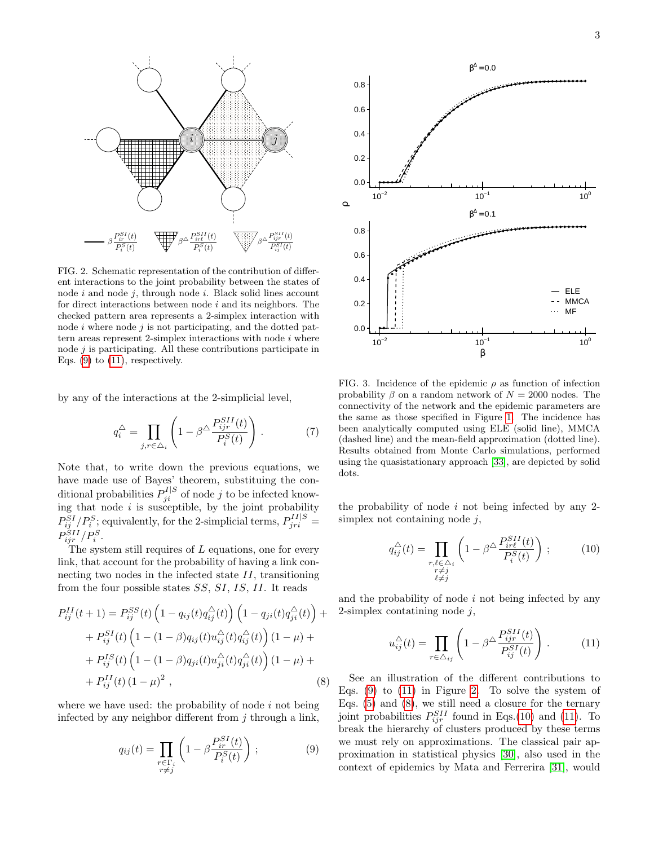

<span id="page-2-2"></span>FIG. 2. Schematic representation of the contribution of different interactions to the joint probability between the states of node  $i$  and node  $j$ , through node  $i$ . Black solid lines account for direct interactions between node  $i$  and its neighbors. The checked pattern area represents a 2-simplex interaction with node  $i$  where node  $j$  is not participating, and the dotted pattern areas represent 2-simplex interactions with node  $i$  where node  $j$  is participating. All these contributions participate in Eqs.  $(9)$  to  $(11)$ , respectively.

by any of the interactions at the 2-simplicial level,

$$
q_i^{\triangle} = \prod_{j,r \in \triangle_i} \left( 1 - \beta^{\triangle} \frac{P_{ijr}^{SII}(t)}{P_i^S(t)} \right). \tag{7}
$$

Note that, to write down the previous equations, we have made use of Bayes' theorem, substituing the conditional probabilities  $P_{ji}^{I|S}$  of node j to be infected knowing that node  $i$  is susceptible, by the joint probability  $P_{ij}^{SI}/P_i^{S}$ ; equivalently, for the 2-simplicial terms,  $P_{jri}^{II|S}$  =  $P_{ijr}^{SII}/P_i^S$ .

The system still requires of L equations, one for every link, that account for the probability of having a link connecting two nodes in the infected state II, transitioning from the four possible states SS, SI, IS, II. It reads

<span id="page-2-3"></span>
$$
P_{ij}^{II}(t+1) = P_{ij}^{SS}(t) \left(1 - q_{ij}(t)q_{ij}^{\triangle}(t)\right) \left(1 - q_{ji}(t)q_{ji}^{\triangle}(t)\right) +
$$
  
+ 
$$
P_{ij}^{SI}(t) \left(1 - (1 - \beta)q_{ij}(t)u_{ij}^{\triangle}(t)q_{ij}^{\triangle}(t)\right) (1 - \mu) +
$$
  
+ 
$$
P_{ij}^{IS}(t) \left(1 - (1 - \beta)q_{ji}(t)u_{ji}^{\triangle}(t)q_{ji}^{\triangle}(t)\right) (1 - \mu) +
$$
  
+ 
$$
P_{ij}^{II}(t) (1 - \mu)^{2},
$$
 (8)

where we have used: the probability of node  $i$  not being infected by any neighbor different from  $j$  through a link,

<span id="page-2-0"></span>
$$
q_{ij}(t) = \prod_{\substack{r \in \Gamma_i \\ r \neq j}} \left( 1 - \beta \frac{P_{ir}^{SI}(t)}{P_i^S(t)} \right) ; \tag{9}
$$



<span id="page-2-5"></span>FIG. 3. Incidence of the epidemic  $\rho$  as function of infection probability  $\beta$  on a random network of  $N = 2000$  nodes. The connectivity of the network and the epidemic parameters are the same as those specified in Figure [1.](#page-1-0) The incidence has been analytically computed using ELE (solid line), MMCA (dashed line) and the mean-field approximation (dotted line). Results obtained from Monte Carlo simulations, performed using the quasistationary approach [\[33\]](#page-4-15), are depicted by solid dots.

the probability of node  $i$  not being infected by any 2simplex not containing node  $j$ ,

<span id="page-2-4"></span>
$$
q_{ij}^{\triangle}(t) = \prod_{\substack{r,\ell \in \triangle_i \\ r \neq j}} \left(1 - \beta^{\triangle} \frac{P_{ir\ell}^{SII}(t)}{P_i^{S}(t)}\right); \tag{10}
$$

and the probability of node  $i$  not being infected by any 2-simplex contatining node  $j$ ,

<span id="page-2-1"></span>
$$
u_{ij}^{\triangle}(t) = \prod_{r \in \triangle_{ij}} \left( 1 - \beta^{\triangle} \frac{P_{ijr}^{SII}(t)}{P_{ij}^{SI}(t)} \right) . \tag{11}
$$

See an illustration of the different contributions to Eqs.  $(9)$  to  $(11)$  in Figure [2.](#page-2-2) To solve the system of Eqs. [\(5\)](#page-1-2) and [\(8\)](#page-2-3), we still need a closure for the ternary joint probabilities  $P_{ijr}^{SII}$  found in Eqs.[\(10\)](#page-2-4) and [\(11\)](#page-2-1). To break the hierarchy of clusters produced by these terms we must rely on approximations. The classical pair approximation in statistical physics [\[30\]](#page-4-16), also used in the context of epidemics by Mata and Ferrerira [\[31\]](#page-4-17), would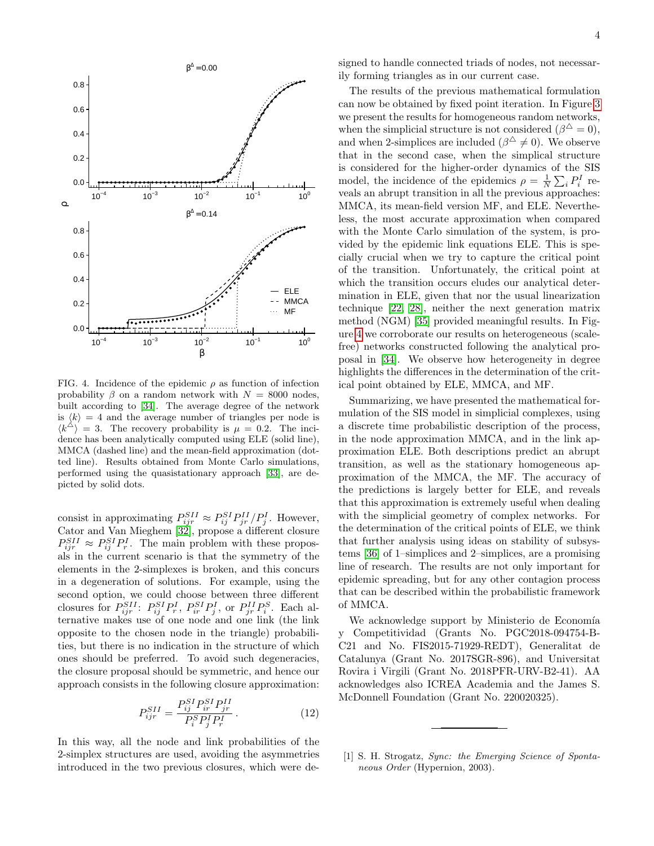

<span id="page-3-1"></span>FIG. 4. Incidence of the epidemic  $\rho$  as function of infection probability  $\beta$  on a random network with  $N = 8000$  nodes, built according to [\[34\]](#page-4-18). The average degree of the network is  $\langle k \rangle = 4$  and the average number of triangles per node is  $\langle k^{\triangle} \rangle = 3$ . The recovery probability is  $\mu = 0.2$ . The incidence has been analytically computed using ELE (solid line), MMCA (dashed line) and the mean-field approximation (dotted line). Results obtained from Monte Carlo simulations, performed using the quasistationary approach [\[33\]](#page-4-15), are depicted by solid dots.

consist in approximating  $P_{ijr}^{SII} \approx P_{ij}^{SI} P_{jr}^{II} / P_j^I$ . However, Cator and Van Mieghem [\[32\]](#page-4-19), propose a different closure  $P_{ijr}^{SII} \approx P_{ij}^{SI} P_r^I$ . The main problem with these proposals in the current scenario is that the symmetry of the elements in the 2-simplexes is broken, and this concurs in a degeneration of solutions. For example, using the second option, we could choose between three different closures for  $P_{ijr}^{SII}$ :  $P_{ij}^{SIP}P_r^I$ ,  $P_{ir}^{SIP}P_j^I$ , or  $P_{jr}^{II}P_i^S$ . Each alternative makes use of one node and one link (the link opposite to the chosen node in the triangle) probabilities, but there is no indication in the structure of which ones should be preferred. To avoid such degeneracies, the closure proposal should be symmetric, and hence our approach consists in the following closure approximation:

$$
P_{ijr}^{SII} = \frac{P_{ij}^{SI} P_{ir}^{SI} P_{jr}^{II}}{P_i^S P_j^I P_r^I}.
$$
 (12)

In this way, all the node and link probabilities of the 2-simplex structures are used, avoiding the asymmetries introduced in the two previous closures, which were designed to handle connected triads of nodes, not necessarily forming triangles as in our current case.

The results of the previous mathematical formulation can now be obtained by fixed point iteration. In Figure [3](#page-2-5) we present the results for homogeneous random networks, when the simplicial structure is not considered  $(\beta^{\triangle}=0)$ , and when 2-simplices are included  $(\beta^{\triangle} \neq 0)$ . We observe that in the second case, when the simplical structure is considered for the higher-order dynamics of the SIS model, the incidence of the epidemics  $\rho = \frac{1}{N} \sum_i P_i^I$  reveals an abrupt transition in all the previous approaches: MMCA, its mean-field version MF, and ELE. Nevertheless, the most accurate approximation when compared with the Monte Carlo simulation of the system, is provided by the epidemic link equations ELE. This is specially crucial when we try to capture the critical point of the transition. Unfortunately, the critical point at which the transition occurs eludes our analytical determination in ELE, given that nor the usual linearization technique [\[22,](#page-4-11) [28\]](#page-4-13), neither the next generation matrix method (NGM) [\[35\]](#page-4-20) provided meaningful results. In Figure [4](#page-3-1) we corroborate our results on heterogeneous (scalefree) networks constructed following the analytical proposal in [\[34\]](#page-4-18). We observe how heterogeneity in degree highlights the differences in the determination of the critical point obtained by ELE, MMCA, and MF.

Summarizing, we have presented the mathematical formulation of the SIS model in simplicial complexes, using a discrete time probabilistic description of the process, in the node approximation MMCA, and in the link approximation ELE. Both descriptions predict an abrupt transition, as well as the stationary homogeneous approximation of the MMCA, the MF. The accuracy of the predictions is largely better for ELE, and reveals that this approximation is extremely useful when dealing with the simplicial geometry of complex networks. For the determination of the critical points of ELE, we think that further analysis using ideas on stability of subsystems [\[36\]](#page-4-21) of 1–simplices and 2–simplices, are a promising line of research. The results are not only important for epidemic spreading, but for any other contagion process that can be described within the probabilistic framework of MMCA.

We acknowledge support by Ministerio de Economía y Competitividad (Grants No. PGC2018-094754-B-C21 and No. FIS2015-71929-REDT), Generalitat de Catalunya (Grant No. 2017SGR-896), and Universitat Rovira i Virgili (Grant No. 2018PFR-URV-B2-41). AA acknowledges also ICREA Academia and the James S. McDonnell Foundation (Grant No. 220020325).

<span id="page-3-0"></span>[1] S. H. Strogatz, Sync: the Emerging Science of Spontaneous Order (Hypernion, 2003).